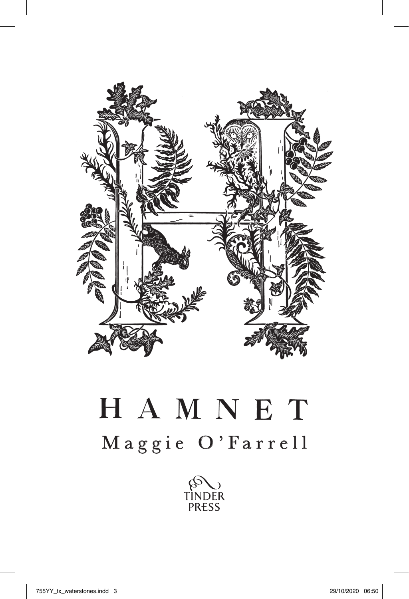

# HAMNET Maggie O'Farrell

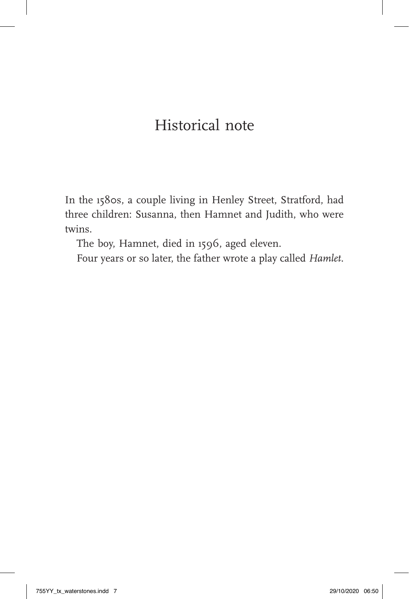## Historical note

In the 1580s, a couple living in Henley Street, Stratford, had three children: Susanna, then Hamnet and Judith, who were twins.

The boy, Hamnet, died in 1596, aged eleven.

Four years or so later, the father wrote a play called *Hamlet*.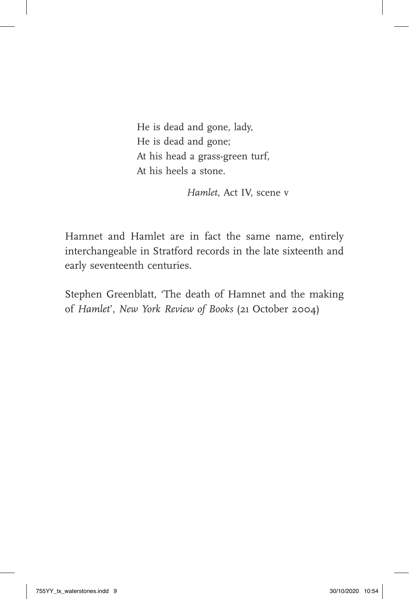He is dead and gone, lady, He is dead and gone; At his head a grass-green turf, At his heels a stone.

*Hamlet*, Act IV, scene v

Hamnet and Hamlet are in fact the same name, entirely interchangeable in Stratford records in the late sixteenth and early seventeenth centuries.

Stephen Greenblatt, 'The death of Hamnet and the making of *Hamlet*', *New York Review of Books* (21 October 2004)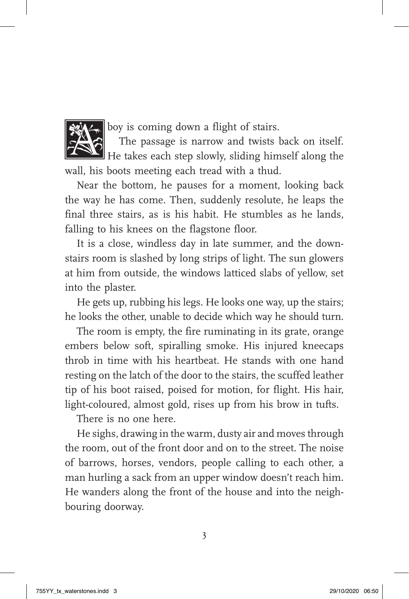boy is coming down a flight of stairs.

The passage is narrow and twists back on itself. He takes each step slowly, sliding himself along the wall, his boots meeting each tread with a thud.

Near the bottom, he pauses for a moment, looking back the way he has come. Then, suddenly resolute, he leaps the final three stairs, as is his habit. He stumbles as he lands, falling to his knees on the flagstone floor.

It is a close, windless day in late summer, and the downstairs room is slashed by long strips of light. The sun glowers at him from outside, the windows latticed slabs of yellow, set into the plaster.

He gets up, rubbing his legs. He looks one way, up the stairs; he looks the other, unable to decide which way he should turn.

The room is empty, the fire ruminating in its grate, orange embers below soft, spiralling smoke. His injured kneecaps throb in time with his heartbeat. He stands with one hand resting on the latch of the door to the stairs, the scuffed leather tip of his boot raised, poised for motion, for flight. His hair, light-coloured, almost gold, rises up from his brow in tufts.

There is no one here.

He sighs, drawing in the warm, dusty air and moves through the room, out of the front door and on to the street. The noise of barrows, horses, vendors, people calling to each other, a man hurling a sack from an upper window doesn't reach him. He wanders along the front of the house and into the neighbouring doorway.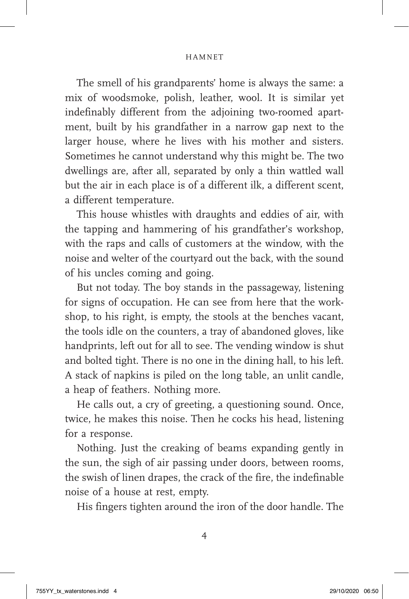The smell of his grandparents' home is always the same: a mix of woodsmoke, polish, leather, wool. It is similar yet indefinably different from the adjoining two-roomed apartment, built by his grandfather in a narrow gap next to the larger house, where he lives with his mother and sisters. Sometimes he cannot understand why this might be. The two dwellings are, after all, separated by only a thin wattled wall but the air in each place is of a different ilk, a different scent, a different temperature.

This house whistles with draughts and eddies of air, with the tapping and hammering of his grandfather's workshop, with the raps and calls of customers at the window, with the noise and welter of the courtyard out the back, with the sound of his uncles coming and going.

But not today. The boy stands in the passageway, listening for signs of occupation. He can see from here that the workshop, to his right, is empty, the stools at the benches vacant, the tools idle on the counters, a tray of abandoned gloves, like handprints, left out for all to see. The vending window is shut and bolted tight. There is no one in the dining hall, to his left. A stack of napkins is piled on the long table, an unlit candle, a heap of feathers. Nothing more.

He calls out, a cry of greeting, a questioning sound. Once, twice, he makes this noise. Then he cocks his head, listening for a response.

Nothing. Just the creaking of beams expanding gently in the sun, the sigh of air passing under doors, between rooms, the swish of linen drapes, the crack of the fire, the indefinable noise of a house at rest, empty.

His fingers tighten around the iron of the door handle. The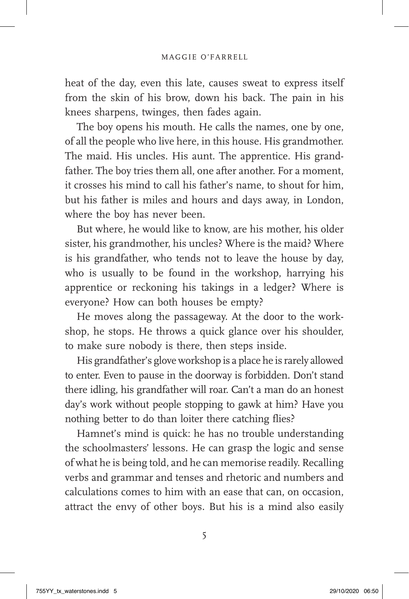heat of the day, even this late, causes sweat to express itself from the skin of his brow, down his back. The pain in his knees sharpens, twinges, then fades again.

The boy opens his mouth. He calls the names, one by one, of all the people who live here, in this house. His grandmother. The maid. His uncles. His aunt. The apprentice. His grandfather. The boy tries them all, one after another. For a moment, it crosses his mind to call his father's name, to shout for him, but his father is miles and hours and days away, in London, where the boy has never been.

But where, he would like to know, are his mother, his older sister, his grandmother, his uncles? Where is the maid? Where is his grandfather, who tends not to leave the house by day, who is usually to be found in the workshop, harrying his apprentice or reckoning his takings in a ledger? Where is everyone? How can both houses be empty?

He moves along the passageway. At the door to the workshop, he stops. He throws a quick glance over his shoulder, to make sure nobody is there, then steps inside.

His grandfather's glove workshop is a place he is rarely allowed to enter. Even to pause in the doorway is forbidden. Don't stand there idling, his grandfather will roar. Can't a man do an honest day's work without people stopping to gawk at him? Have you nothing better to do than loiter there catching flies?

Hamnet's mind is quick: he has no trouble understanding the schoolmasters' lessons. He can grasp the logic and sense of what he is being told, and he can memorise readily. Recalling verbs and grammar and tenses and rhetoric and numbers and calculations comes to him with an ease that can, on occasion, attract the envy of other boys. But his is a mind also easily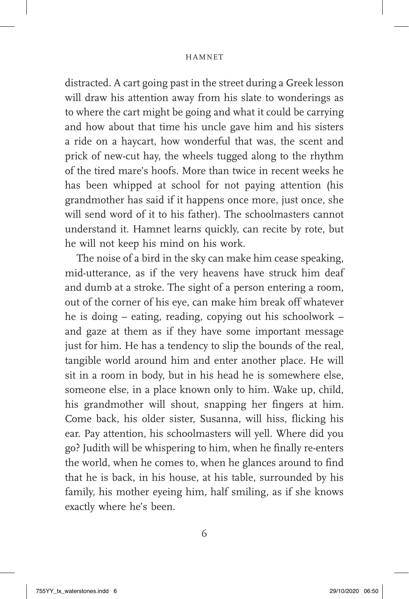distracted. A cart going past in the street during a Greek lesson will draw his attention away from his slate to wonderings as to where the cart might be going and what it could be carrying and how about that time his uncle gave him and his sisters a ride on a haycart, how wonderful that was, the scent and prick of new-cut hay, the wheels tugged along to the rhythm of the tired mare's hoofs. More than twice in recent weeks he has been whipped at school for not paying attention (his grandmother has said if it happens once more, just once, she will send word of it to his father). The schoolmasters cannot understand it. Hamnet learns quickly, can recite by rote, but he will not keep his mind on his work.

The noise of a bird in the sky can make him cease speaking, mid-utterance, as if the very heavens have struck him deaf and dumb at a stroke. The sight of a person entering a room, out of the corner of his eye, can make him break off whatever he is doing – eating, reading, copying out his schoolwork – and gaze at them as if they have some important message just for him. He has a tendency to slip the bounds of the real, tangible world around him and enter another place. He will sit in a room in body, but in his head he is somewhere else, someone else, in a place known only to him. Wake up, child, his grandmother will shout, snapping her fingers at him. Come back, his older sister, Susanna, will hiss, flicking his ear. Pay attention, his schoolmasters will yell. Where did you go? Judith will be whispering to him, when he finally re-enters the world, when he comes to, when he glances around to find that he is back, in his house, at his table, surrounded by his family, his mother eyeing him, half smiling, as if she knows exactly where he's been.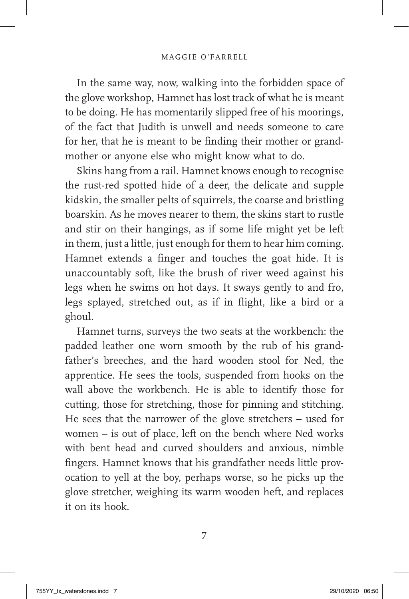In the same way, now, walking into the forbidden space of the glove workshop, Hamnet has lost track of what he is meant to be doing. He has momentarily slipped free of his moorings, of the fact that Judith is unwell and needs someone to care for her, that he is meant to be finding their mother or grandmother or anyone else who might know what to do.

Skins hang from a rail. Hamnet knows enough to recognise the rust-red spotted hide of a deer, the delicate and supple kidskin, the smaller pelts of squirrels, the coarse and bristling boarskin. As he moves nearer to them, the skins start to rustle and stir on their hangings, as if some life might yet be left in them, just a little, just enough for them to hear him coming. Hamnet extends a finger and touches the goat hide. It is unaccountably soft, like the brush of river weed against his legs when he swims on hot days. It sways gently to and fro, legs splayed, stretched out, as if in flight, like a bird or a ghoul.

Hamnet turns, surveys the two seats at the workbench: the padded leather one worn smooth by the rub of his grandfather's breeches, and the hard wooden stool for Ned, the apprentice. He sees the tools, suspended from hooks on the wall above the workbench. He is able to identify those for cutting, those for stretching, those for pinning and stitching. He sees that the narrower of the glove stretchers – used for women – is out of place, left on the bench where Ned works with bent head and curved shoulders and anxious, nimble fingers. Hamnet knows that his grandfather needs little provocation to yell at the boy, perhaps worse, so he picks up the glove stretcher, weighing its warm wooden heft, and replaces it on its hook.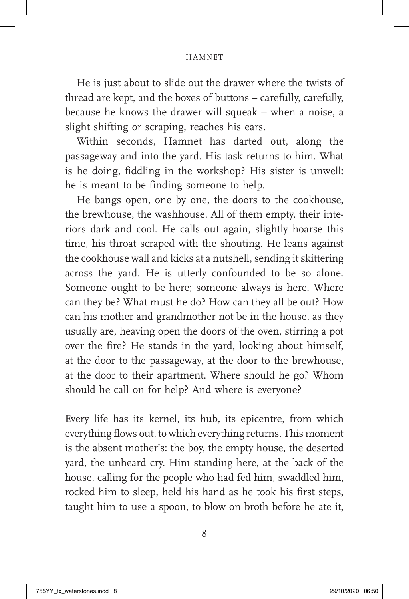He is just about to slide out the drawer where the twists of thread are kept, and the boxes of buttons – carefully, carefully, because he knows the drawer will squeak – when a noise, a slight shifting or scraping, reaches his ears.

Within seconds, Hamnet has darted out, along the passageway and into the yard. His task returns to him. What is he doing, fiddling in the workshop? His sister is unwell: he is meant to be finding someone to help.

He bangs open, one by one, the doors to the cookhouse, the brewhouse, the washhouse. All of them empty, their interiors dark and cool. He calls out again, slightly hoarse this time, his throat scraped with the shouting. He leans against the cookhouse wall and kicks at a nutshell, sending it skittering across the yard. He is utterly confounded to be so alone. Someone ought to be here; someone always is here. Where can they be? What must he do? How can they all be out? How can his mother and grandmother not be in the house, as they usually are, heaving open the doors of the oven, stirring a pot over the fire? He stands in the yard, looking about himself, at the door to the passageway, at the door to the brewhouse, at the door to their apartment. Where should he go? Whom should he call on for help? And where is everyone?

Every life has its kernel, its hub, its epicentre, from which everything flows out, to which everything returns. This moment is the absent mother's: the boy, the empty house, the deserted yard, the unheard cry. Him standing here, at the back of the house, calling for the people who had fed him, swaddled him, rocked him to sleep, held his hand as he took his first steps, taught him to use a spoon, to blow on broth before he ate it,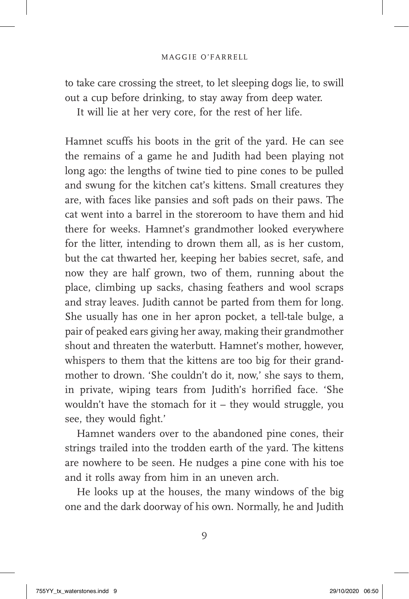to take care crossing the street, to let sleeping dogs lie, to swill out a cup before drinking, to stay away from deep water.

It will lie at her very core, for the rest of her life.

Hamnet scuffs his boots in the grit of the yard. He can see the remains of a game he and Judith had been playing not long ago: the lengths of twine tied to pine cones to be pulled and swung for the kitchen cat's kittens. Small creatures they are, with faces like pansies and soft pads on their paws. The cat went into a barrel in the storeroom to have them and hid there for weeks. Hamnet's grandmother looked everywhere for the litter, intending to drown them all, as is her custom, but the cat thwarted her, keeping her babies secret, safe, and now they are half grown, two of them, running about the place, climbing up sacks, chasing feathers and wool scraps and stray leaves. Judith cannot be parted from them for long. She usually has one in her apron pocket, a tell-tale bulge, a pair of peaked ears giving her away, making their grandmother shout and threaten the waterbutt. Hamnet's mother, however, whispers to them that the kittens are too big for their grandmother to drown. 'She couldn't do it, now,' she says to them, in private, wiping tears from Judith's horrified face. 'She wouldn't have the stomach for it – they would struggle, you see, they would fight.'

Hamnet wanders over to the abandoned pine cones, their strings trailed into the trodden earth of the yard. The kittens are nowhere to be seen. He nudges a pine cone with his toe and it rolls away from him in an uneven arch.

He looks up at the houses, the many windows of the big one and the dark doorway of his own. Normally, he and Judith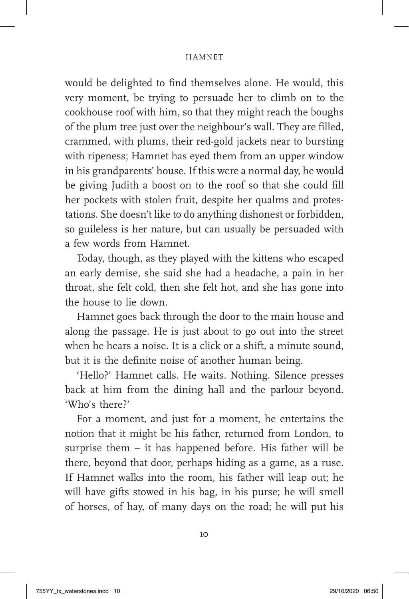would be delighted to find themselves alone. He would, this very moment, be trying to persuade her to climb on to the cookhouse roof with him, so that they might reach the boughs of the plum tree just over the neighbour's wall. They are filled, crammed, with plums, their red-gold jackets near to bursting with ripeness; Hamnet has eyed them from an upper window in his grandparents' house. If this were a normal day, he would be giving Judith a boost on to the roof so that she could fill her pockets with stolen fruit, despite her qualms and protestations. She doesn't like to do anything dishonest or forbidden, so guileless is her nature, but can usually be persuaded with a few words from Hamnet.

Today, though, as they played with the kittens who escaped an early demise, she said she had a headache, a pain in her throat, she felt cold, then she felt hot, and she has gone into the house to lie down.

Hamnet goes back through the door to the main house and along the passage. He is just about to go out into the street when he hears a noise. It is a click or a shift, a minute sound, but it is the definite noise of another human being.

'Hello?' Hamnet calls. He waits. Nothing. Silence presses back at him from the dining hall and the parlour beyond. 'Who's there?'

For a moment, and just for a moment, he entertains the notion that it might be his father, returned from London, to surprise them – it has happened before. His father will be there, beyond that door, perhaps hiding as a game, as a ruse. If Hamnet walks into the room, his father will leap out; he will have gifts stowed in his bag, in his purse; he will smell of horses, of hay, of many days on the road; he will put his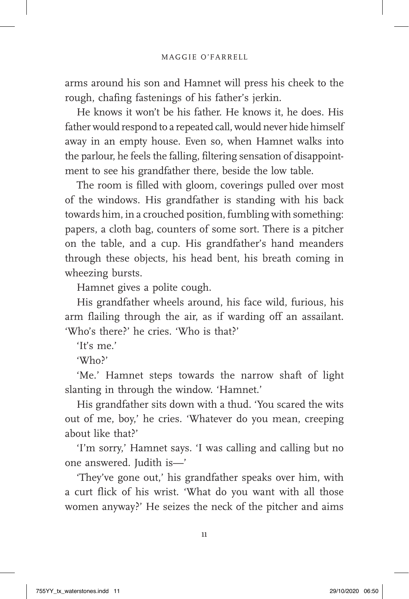arms around his son and Hamnet will press his cheek to the rough, chafing fastenings of his father's jerkin.

He knows it won't be his father. He knows it, he does. His father would respond to a repeated call, would never hide himself away in an empty house. Even so, when Hamnet walks into the parlour, he feels the falling, filtering sensation of disappointment to see his grandfather there, beside the low table.

The room is filled with gloom, coverings pulled over most of the windows. His grandfather is standing with his back towards him, in a crouched position, fumbling with something: papers, a cloth bag, counters of some sort. There is a pitcher on the table, and a cup. His grandfather's hand meanders through these objects, his head bent, his breath coming in wheezing bursts.

Hamnet gives a polite cough.

His grandfather wheels around, his face wild, furious, his arm flailing through the air, as if warding off an assailant. 'Who's there?' he cries. 'Who is that?'

'It's me.'

'Who?'

'Me.' Hamnet steps towards the narrow shaft of light slanting in through the window. 'Hamnet.'

His grandfather sits down with a thud. 'You scared the wits out of me, boy,' he cries. 'Whatever do you mean, creeping about like that?'

'I'm sorry,' Hamnet says. 'I was calling and calling but no one answered. Judith is—'

'They've gone out,' his grandfather speaks over him, with a curt flick of his wrist. 'What do you want with all those women anyway?' He seizes the neck of the pitcher and aims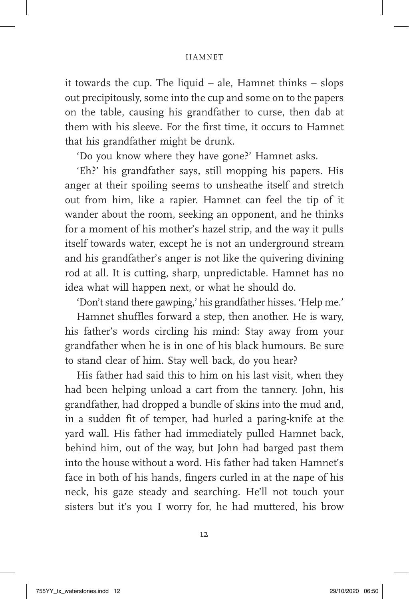it towards the cup. The liquid – ale, Hamnet thinks – slops out precipitously, some into the cup and some on to the papers on the table, causing his grandfather to curse, then dab at them with his sleeve. For the first time, it occurs to Hamnet that his grandfather might be drunk.

'Do you know where they have gone?' Hamnet asks.

'Eh?' his grandfather says, still mopping his papers. His anger at their spoiling seems to unsheathe itself and stretch out from him, like a rapier. Hamnet can feel the tip of it wander about the room, seeking an opponent, and he thinks for a moment of his mother's hazel strip, and the way it pulls itself towards water, except he is not an underground stream and his grandfather's anger is not like the quivering divining rod at all. It is cutting, sharp, unpredictable. Hamnet has no idea what will happen next, or what he should do.

'Don't stand there gawping,' his grandfather hisses. 'Help me.' Hamnet shuffles forward a step, then another. He is wary, his father's words circling his mind: Stay away from your grandfather when he is in one of his black humours. Be sure to stand clear of him. Stay well back, do you hear?

His father had said this to him on his last visit, when they had been helping unload a cart from the tannery. John, his grandfather, had dropped a bundle of skins into the mud and, in a sudden fit of temper, had hurled a paring-knife at the yard wall. His father had immediately pulled Hamnet back, behind him, out of the way, but John had barged past them into the house without a word. His father had taken Hamnet's face in both of his hands, fingers curled in at the nape of his neck, his gaze steady and searching. He'll not touch your sisters but it's you I worry for, he had muttered, his brow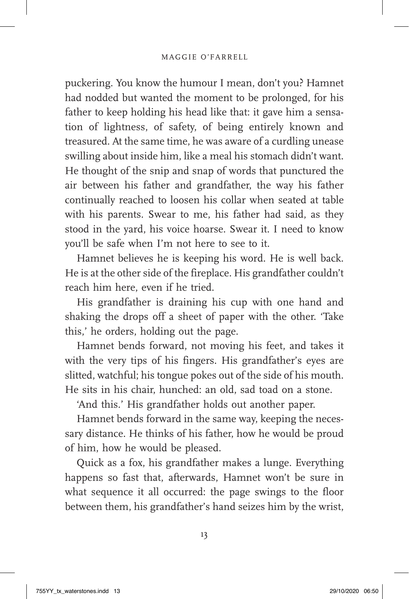puckering. You know the humour I mean, don't you? Hamnet had nodded but wanted the moment to be prolonged, for his father to keep holding his head like that: it gave him a sensation of lightness, of safety, of being entirely known and treasured. At the same time, he was aware of a curdling unease swilling about inside him, like a meal his stomach didn't want. He thought of the snip and snap of words that punctured the air between his father and grandfather, the way his father continually reached to loosen his collar when seated at table with his parents. Swear to me, his father had said, as they stood in the yard, his voice hoarse. Swear it. I need to know you'll be safe when I'm not here to see to it.

Hamnet believes he is keeping his word. He is well back. He is at the other side of the fireplace. His grandfather couldn't reach him here, even if he tried.

His grandfather is draining his cup with one hand and shaking the drops off a sheet of paper with the other. 'Take this,' he orders, holding out the page.

Hamnet bends forward, not moving his feet, and takes it with the very tips of his fingers. His grandfather's eyes are slitted, watchful; his tongue pokes out of the side of his mouth. He sits in his chair, hunched: an old, sad toad on a stone.

'And this.' His grandfather holds out another paper.

Hamnet bends forward in the same way, keeping the necessary distance. He thinks of his father, how he would be proud of him, how he would be pleased.

Quick as a fox, his grandfather makes a lunge. Everything happens so fast that, afterwards, Hamnet won't be sure in what sequence it all occurred: the page swings to the floor between them, his grandfather's hand seizes him by the wrist,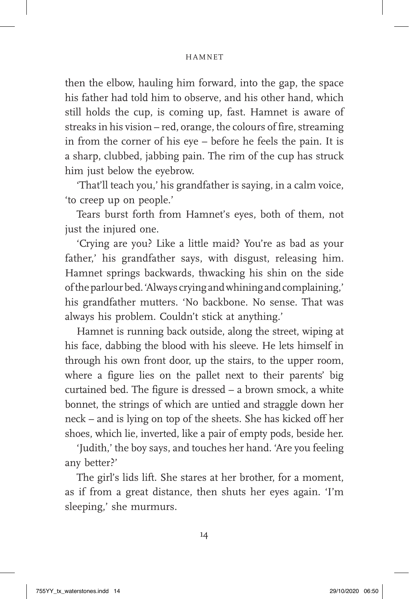then the elbow, hauling him forward, into the gap, the space his father had told him to observe, and his other hand, which still holds the cup, is coming up, fast. Hamnet is aware of streaks in his vision – red, orange, the colours of fire, streaming in from the corner of his eye – before he feels the pain. It is a sharp, clubbed, jabbing pain. The rim of the cup has struck him just below the eyebrow.

'That'll teach you,' his grandfather is saying, in a calm voice, 'to creep up on people.'

Tears burst forth from Hamnet's eyes, both of them, not just the injured one.

'Crying are you? Like a little maid? You're as bad as your father,' his grandfather says, with disgust, releasing him. Hamnet springs backwards, thwacking his shin on the side of the parlour bed. 'Always crying and whining and complaining,' his grandfather mutters. 'No backbone. No sense. That was always his problem. Couldn't stick at anything.'

Hamnet is running back outside, along the street, wiping at his face, dabbing the blood with his sleeve. He lets himself in through his own front door, up the stairs, to the upper room, where a figure lies on the pallet next to their parents' big curtained bed. The figure is dressed – a brown smock, a white bonnet, the strings of which are untied and straggle down her neck – and is lying on top of the sheets. She has kicked off her shoes, which lie, inverted, like a pair of empty pods, beside her.

'Judith,' the boy says, and touches her hand. 'Are you feeling any better?'

The girl's lids lift. She stares at her brother, for a moment, as if from a great distance, then shuts her eyes again. 'I'm sleeping,' she murmurs.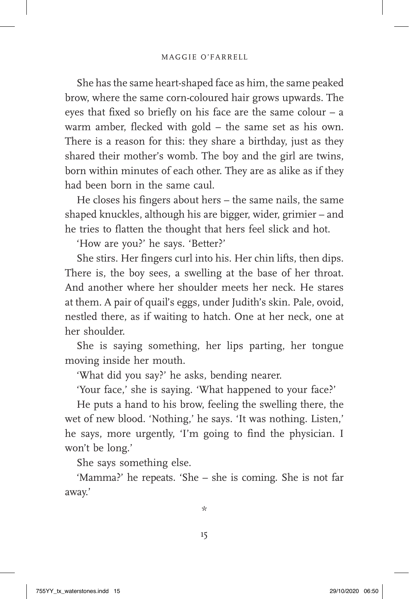She has the same heart-shaped face as him, the same peaked brow, where the same corn-coloured hair grows upwards. The eyes that fixed so briefly on his face are the same colour – a warm amber, flecked with gold – the same set as his own. There is a reason for this: they share a birthday, just as they shared their mother's womb. The boy and the girl are twins, born within minutes of each other. They are as alike as if they had been born in the same caul.

He closes his fingers about hers – the same nails, the same shaped knuckles, although his are bigger, wider, grimier – and he tries to flatten the thought that hers feel slick and hot.

'How are you?' he says. 'Better?'

She stirs. Her fingers curl into his. Her chin lifts, then dips. There is, the boy sees, a swelling at the base of her throat. And another where her shoulder meets her neck. He stares at them. A pair of quail's eggs, under Judith's skin. Pale, ovoid, nestled there, as if waiting to hatch. One at her neck, one at her shoulder.

She is saying something, her lips parting, her tongue moving inside her mouth.

'What did you say?' he asks, bending nearer.

'Your face,' she is saying. 'What happened to your face?'

He puts a hand to his brow, feeling the swelling there, the wet of new blood. 'Nothing,' he says. 'It was nothing. Listen,' he says, more urgently, 'I'm going to find the physician. I won't be long.'

She says something else.

'Mamma?' he repeats. 'She – she is coming. She is not far away.'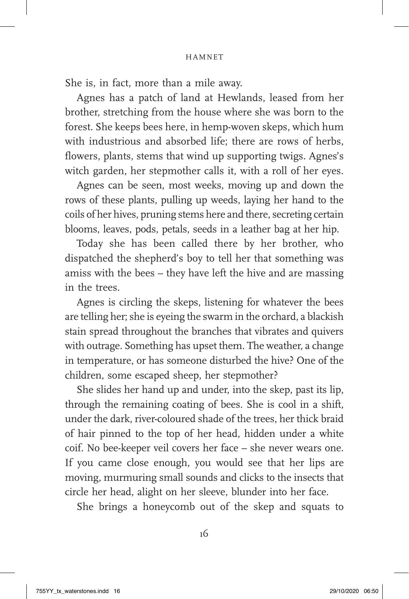She is, in fact, more than a mile away.

Agnes has a patch of land at Hewlands, leased from her brother, stretching from the house where she was born to the forest. She keeps bees here, in hemp-woven skeps, which hum with industrious and absorbed life; there are rows of herbs, flowers, plants, stems that wind up supporting twigs. Agnes's witch garden, her stepmother calls it, with a roll of her eyes.

Agnes can be seen, most weeks, moving up and down the rows of these plants, pulling up weeds, laying her hand to the coils of her hives, pruning stems here and there, secreting certain blooms, leaves, pods, petals, seeds in a leather bag at her hip.

Today she has been called there by her brother, who dispatched the shepherd's boy to tell her that something was amiss with the bees – they have left the hive and are massing in the trees.

Agnes is circling the skeps, listening for whatever the bees are telling her; she is eyeing the swarm in the orchard, a blackish stain spread throughout the branches that vibrates and quivers with outrage. Something has upset them. The weather, a change in temperature, or has someone disturbed the hive? One of the children, some escaped sheep, her stepmother?

She slides her hand up and under, into the skep, past its lip, through the remaining coating of bees. She is cool in a shift, under the dark, river-coloured shade of the trees, her thick braid of hair pinned to the top of her head, hidden under a white coif. No bee-keeper veil covers her face – she never wears one. If you came close enough, you would see that her lips are moving, murmuring small sounds and clicks to the insects that circle her head, alight on her sleeve, blunder into her face.

She brings a honeycomb out of the skep and squats to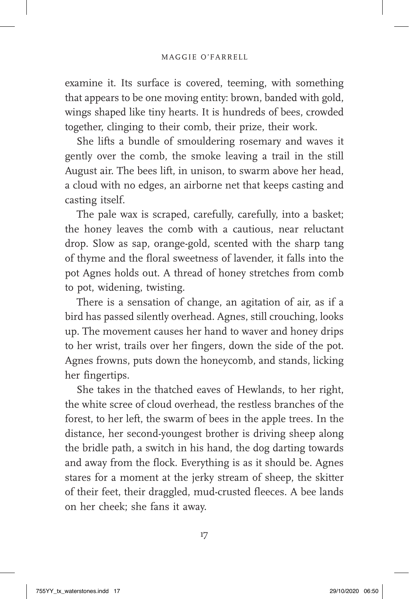examine it. Its surface is covered, teeming, with something that appears to be one moving entity: brown, banded with gold, wings shaped like tiny hearts. It is hundreds of bees, crowded together, clinging to their comb, their prize, their work.

She lifts a bundle of smouldering rosemary and waves it gently over the comb, the smoke leaving a trail in the still August air. The bees lift, in unison, to swarm above her head, a cloud with no edges, an airborne net that keeps casting and casting itself.

The pale wax is scraped, carefully, carefully, into a basket; the honey leaves the comb with a cautious, near reluctant drop. Slow as sap, orange-gold, scented with the sharp tang of thyme and the floral sweetness of lavender, it falls into the pot Agnes holds out. A thread of honey stretches from comb to pot, widening, twisting.

There is a sensation of change, an agitation of air, as if a bird has passed silently overhead. Agnes, still crouching, looks up. The movement causes her hand to waver and honey drips to her wrist, trails over her fingers, down the side of the pot. Agnes frowns, puts down the honeycomb, and stands, licking her fingertips.

She takes in the thatched eaves of Hewlands, to her right, the white scree of cloud overhead, the restless branches of the forest, to her left, the swarm of bees in the apple trees. In the distance, her second-youngest brother is driving sheep along the bridle path, a switch in his hand, the dog darting towards and away from the flock. Everything is as it should be. Agnes stares for a moment at the jerky stream of sheep, the skitter of their feet, their draggled, mud-crusted fleeces. A bee lands on her cheek; she fans it away.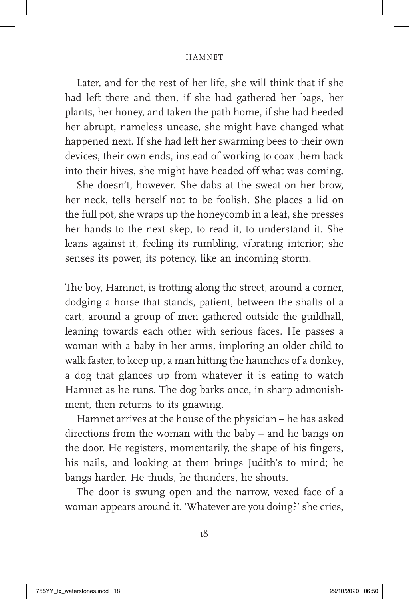Later, and for the rest of her life, she will think that if she had left there and then, if she had gathered her bags, her plants, her honey, and taken the path home, if she had heeded her abrupt, nameless unease, she might have changed what happened next. If she had left her swarming bees to their own devices, their own ends, instead of working to coax them back into their hives, she might have headed off what was coming.

She doesn't, however. She dabs at the sweat on her brow, her neck, tells herself not to be foolish. She places a lid on the full pot, she wraps up the honeycomb in a leaf, she presses her hands to the next skep, to read it, to understand it. She leans against it, feeling its rumbling, vibrating interior; she senses its power, its potency, like an incoming storm.

The boy, Hamnet, is trotting along the street, around a corner, dodging a horse that stands, patient, between the shafts of a cart, around a group of men gathered outside the guildhall, leaning towards each other with serious faces. He passes a woman with a baby in her arms, imploring an older child to walk faster, to keep up, a man hitting the haunches of a donkey, a dog that glances up from whatever it is eating to watch Hamnet as he runs. The dog barks once, in sharp admonishment, then returns to its gnawing.

Hamnet arrives at the house of the physician – he has asked directions from the woman with the baby – and he bangs on the door. He registers, momentarily, the shape of his fingers, his nails, and looking at them brings Judith's to mind; he bangs harder. He thuds, he thunders, he shouts.

The door is swung open and the narrow, vexed face of a woman appears around it. 'Whatever are you doing?' she cries,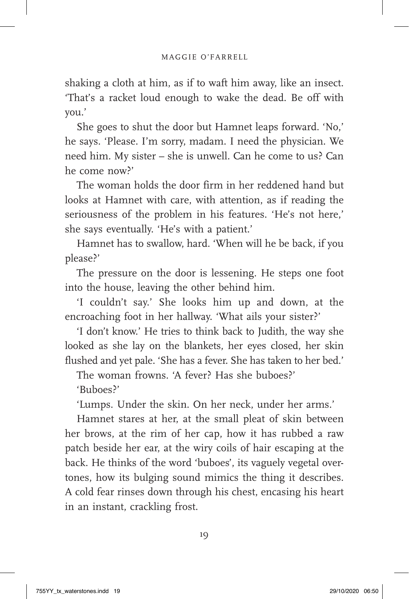shaking a cloth at him, as if to waft him away, like an insect. 'That's a racket loud enough to wake the dead. Be off with you.'

She goes to shut the door but Hamnet leaps forward. 'No,' he says. 'Please. I'm sorry, madam. I need the physician. We need him. My sister – she is unwell. Can he come to us? Can he come now?'

The woman holds the door firm in her reddened hand but looks at Hamnet with care, with attention, as if reading the seriousness of the problem in his features. 'He's not here,' she says eventually. 'He's with a patient.'

Hamnet has to swallow, hard. 'When will he be back, if you please?'

The pressure on the door is lessening. He steps one foot into the house, leaving the other behind him.

'I couldn't say.' She looks him up and down, at the encroaching foot in her hallway. 'What ails your sister?'

'I don't know.' He tries to think back to Judith, the way she looked as she lay on the blankets, her eyes closed, her skin flushed and yet pale. 'She has a fever. She has taken to her bed.'

The woman frowns. 'A fever? Has she buboes?'

'Buboes?'

'Lumps. Under the skin. On her neck, under her arms.'

Hamnet stares at her, at the small pleat of skin between her brows, at the rim of her cap, how it has rubbed a raw patch beside her ear, at the wiry coils of hair escaping at the back. He thinks of the word 'buboes', its vaguely vegetal overtones, how its bulging sound mimics the thing it describes. A cold fear rinses down through his chest, encasing his heart in an instant, crackling frost.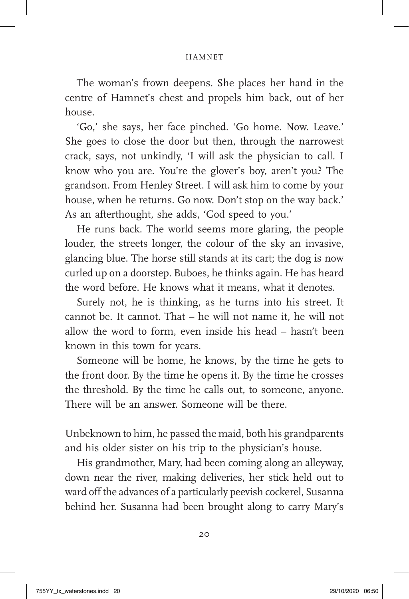The woman's frown deepens. She places her hand in the centre of Hamnet's chest and propels him back, out of her house.

'Go,' she says, her face pinched. 'Go home. Now. Leave.' She goes to close the door but then, through the narrowest crack, says, not unkindly, 'I will ask the physician to call. I know who you are. You're the glover's boy, aren't you? The grandson. From Henley Street. I will ask him to come by your house, when he returns. Go now. Don't stop on the way back.' As an afterthought, she adds, 'God speed to you.'

He runs back. The world seems more glaring, the people louder, the streets longer, the colour of the sky an invasive, glancing blue. The horse still stands at its cart; the dog is now curled up on a doorstep. Buboes, he thinks again. He has heard the word before. He knows what it means, what it denotes.

Surely not, he is thinking, as he turns into his street. It cannot be. It cannot. That – he will not name it, he will not allow the word to form, even inside his head – hasn't been known in this town for years.

Someone will be home, he knows, by the time he gets to the front door. By the time he opens it. By the time he crosses the threshold. By the time he calls out, to someone, anyone. There will be an answer. Someone will be there.

Unbeknown to him, he passed the maid, both his grandparents and his older sister on his trip to the physician's house.

His grandmother, Mary, had been coming along an alleyway, down near the river, making deliveries, her stick held out to ward off the advances of a particularly peevish cockerel, Susanna behind her. Susanna had been brought along to carry Mary's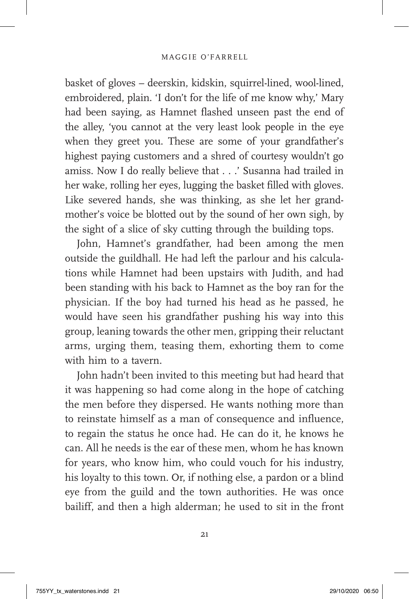basket of gloves – deerskin, kidskin, squirrel-lined, wool-lined, embroidered, plain. 'I don't for the life of me know why,' Mary had been saying, as Hamnet flashed unseen past the end of the alley, 'you cannot at the very least look people in the eye when they greet you. These are some of your grandfather's highest paying customers and a shred of courtesy wouldn't go amiss. Now I do really believe that . . .' Susanna had trailed in her wake, rolling her eyes, lugging the basket filled with gloves. Like severed hands, she was thinking, as she let her grandmother's voice be blotted out by the sound of her own sigh, by the sight of a slice of sky cutting through the building tops.

John, Hamnet's grandfather, had been among the men outside the guildhall. He had left the parlour and his calculations while Hamnet had been upstairs with Judith, and had been standing with his back to Hamnet as the boy ran for the physician. If the boy had turned his head as he passed, he would have seen his grandfather pushing his way into this group, leaning towards the other men, gripping their reluctant arms, urging them, teasing them, exhorting them to come with him to a tavern.

John hadn't been invited to this meeting but had heard that it was happening so had come along in the hope of catching the men before they dispersed. He wants nothing more than to reinstate himself as a man of consequence and influence, to regain the status he once had. He can do it, he knows he can. All he needs is the ear of these men, whom he has known for years, who know him, who could vouch for his industry, his loyalty to this town. Or, if nothing else, a pardon or a blind eye from the guild and the town authorities. He was once bailiff, and then a high alderman; he used to sit in the front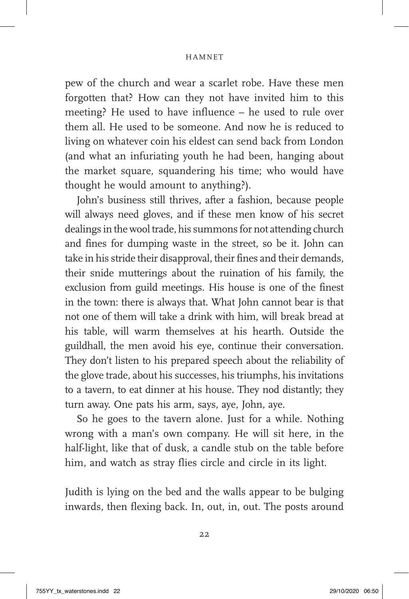pew of the church and wear a scarlet robe. Have these men forgotten that? How can they not have invited him to this meeting? He used to have influence – he used to rule over them all. He used to be someone. And now he is reduced to living on whatever coin his eldest can send back from London (and what an infuriating youth he had been, hanging about the market square, squandering his time; who would have thought he would amount to anything?).

John's business still thrives, after a fashion, because people will always need gloves, and if these men know of his secret dealings in the wool trade, his summons for not attending church and fines for dumping waste in the street, so be it. John can take in his stride their disapproval, their fines and their demands, their snide mutterings about the ruination of his family, the exclusion from guild meetings. His house is one of the finest in the town: there is always that. What John cannot bear is that not one of them will take a drink with him, will break bread at his table, will warm themselves at his hearth. Outside the guildhall, the men avoid his eye, continue their conversation. They don't listen to his prepared speech about the reliability of the glove trade, about his successes, his triumphs, his invitations to a tavern, to eat dinner at his house. They nod distantly; they turn away. One pats his arm, says, aye, John, aye.

So he goes to the tavern alone. Just for a while. Nothing wrong with a man's own company. He will sit here, in the half-light, like that of dusk, a candle stub on the table before him, and watch as stray flies circle and circle in its light.

Judith is lying on the bed and the walls appear to be bulging inwards, then flexing back. In, out, in, out. The posts around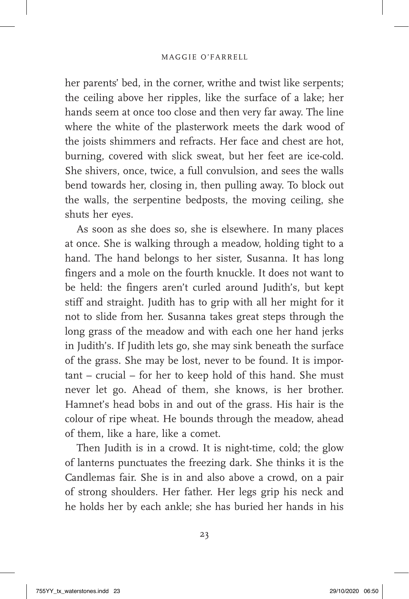her parents' bed, in the corner, writhe and twist like serpents; the ceiling above her ripples, like the surface of a lake; her hands seem at once too close and then very far away. The line where the white of the plasterwork meets the dark wood of the joists shimmers and refracts. Her face and chest are hot, burning, covered with slick sweat, but her feet are ice-cold. She shivers, once, twice, a full convulsion, and sees the walls bend towards her, closing in, then pulling away. To block out the walls, the serpentine bedposts, the moving ceiling, she shuts her eyes.

As soon as she does so, she is elsewhere. In many places at once. She is walking through a meadow, holding tight to a hand. The hand belongs to her sister, Susanna. It has long fingers and a mole on the fourth knuckle. It does not want to be held: the fingers aren't curled around Judith's, but kept stiff and straight. Judith has to grip with all her might for it not to slide from her. Susanna takes great steps through the long grass of the meadow and with each one her hand jerks in Judith's. If Judith lets go, she may sink beneath the surface of the grass. She may be lost, never to be found. It is important – crucial – for her to keep hold of this hand. She must never let go. Ahead of them, she knows, is her brother. Hamnet's head bobs in and out of the grass. His hair is the colour of ripe wheat. He bounds through the meadow, ahead of them, like a hare, like a comet.

Then Judith is in a crowd. It is night-time, cold; the glow of lanterns punctuates the freezing dark. She thinks it is the Candlemas fair. She is in and also above a crowd, on a pair of strong shoulders. Her father. Her legs grip his neck and he holds her by each ankle; she has buried her hands in his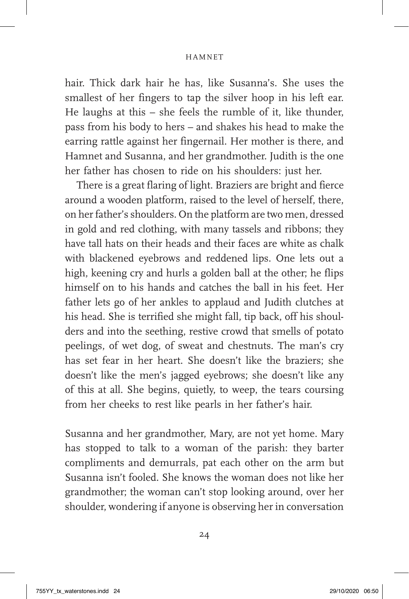hair. Thick dark hair he has, like Susanna's. She uses the smallest of her fingers to tap the silver hoop in his left ear. He laughs at this – she feels the rumble of it, like thunder, pass from his body to hers – and shakes his head to make the earring rattle against her fingernail. Her mother is there, and Hamnet and Susanna, and her grandmother. Judith is the one her father has chosen to ride on his shoulders: just her.

There is a great flaring of light. Braziers are bright and fierce around a wooden platform, raised to the level of herself, there, on her father's shoulders. On the platform are two men, dressed in gold and red clothing, with many tassels and ribbons; they have tall hats on their heads and their faces are white as chalk with blackened eyebrows and reddened lips. One lets out a high, keening cry and hurls a golden ball at the other; he flips himself on to his hands and catches the ball in his feet. Her father lets go of her ankles to applaud and Judith clutches at his head. She is terrified she might fall, tip back, off his shoulders and into the seething, restive crowd that smells of potato peelings, of wet dog, of sweat and chestnuts. The man's cry has set fear in her heart. She doesn't like the braziers; she doesn't like the men's jagged eyebrows; she doesn't like any of this at all. She begins, quietly, to weep, the tears coursing from her cheeks to rest like pearls in her father's hair.

Susanna and her grandmother, Mary, are not yet home. Mary has stopped to talk to a woman of the parish: they barter compliments and demurrals, pat each other on the arm but Susanna isn't fooled. She knows the woman does not like her grandmother; the woman can't stop looking around, over her shoulder, wondering if anyone is observing her in conversation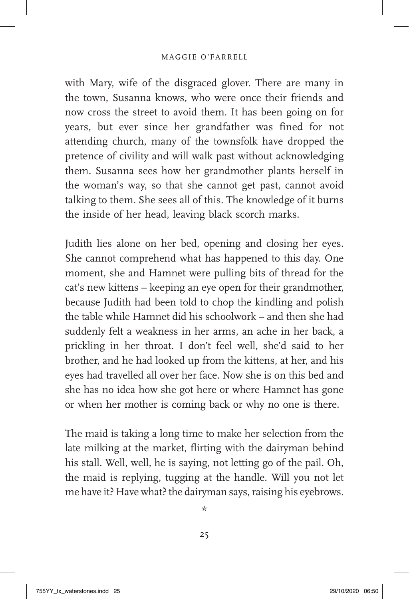### MAGGIE O'FARRELL

with Mary, wife of the disgraced glover. There are many in the town, Susanna knows, who were once their friends and now cross the street to avoid them. It has been going on for years, but ever since her grandfather was fined for not attending church, many of the townsfolk have dropped the pretence of civility and will walk past without acknowledging them. Susanna sees how her grandmother plants herself in the woman's way, so that she cannot get past, cannot avoid talking to them. She sees all of this. The knowledge of it burns the inside of her head, leaving black scorch marks.

Judith lies alone on her bed, opening and closing her eyes. She cannot comprehend what has happened to this day. One moment, she and Hamnet were pulling bits of thread for the cat's new kittens – keeping an eye open for their grandmother, because Judith had been told to chop the kindling and polish the table while Hamnet did his schoolwork – and then she had suddenly felt a weakness in her arms, an ache in her back, a prickling in her throat. I don't feel well, she'd said to her brother, and he had looked up from the kittens, at her, and his eyes had travelled all over her face. Now she is on this bed and she has no idea how she got here or where Hamnet has gone or when her mother is coming back or why no one is there.

The maid is taking a long time to make her selection from the late milking at the market, flirting with the dairyman behind his stall. Well, well, he is saying, not letting go of the pail. Oh, the maid is replying, tugging at the handle. Will you not let me have it? Have what? the dairyman says, raising his eyebrows.

\*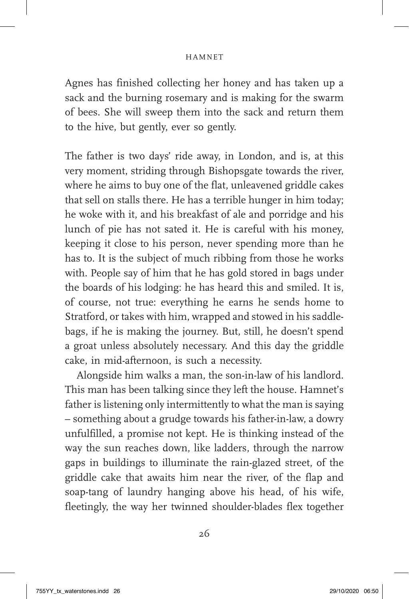Agnes has finished collecting her honey and has taken up a sack and the burning rosemary and is making for the swarm of bees. She will sweep them into the sack and return them to the hive, but gently, ever so gently.

The father is two days' ride away, in London, and is, at this very moment, striding through Bishopsgate towards the river, where he aims to buy one of the flat, unleavened griddle cakes that sell on stalls there. He has a terrible hunger in him today; he woke with it, and his breakfast of ale and porridge and his lunch of pie has not sated it. He is careful with his money, keeping it close to his person, never spending more than he has to. It is the subject of much ribbing from those he works with. People say of him that he has gold stored in bags under the boards of his lodging: he has heard this and smiled. It is, of course, not true: everything he earns he sends home to Stratford, or takes with him, wrapped and stowed in his saddlebags, if he is making the journey. But, still, he doesn't spend a groat unless absolutely necessary. And this day the griddle cake, in mid-afternoon, is such a necessity.

Alongside him walks a man, the son-in-law of his landlord. This man has been talking since they left the house. Hamnet's father is listening only intermittently to what the man is saying – something about a grudge towards his father-in-law, a dowry unfulfilled, a promise not kept. He is thinking instead of the way the sun reaches down, like ladders, through the narrow gaps in buildings to illuminate the rain-glazed street, of the griddle cake that awaits him near the river, of the flap and soap-tang of laundry hanging above his head, of his wife, fleetingly, the way her twinned shoulder-blades flex together